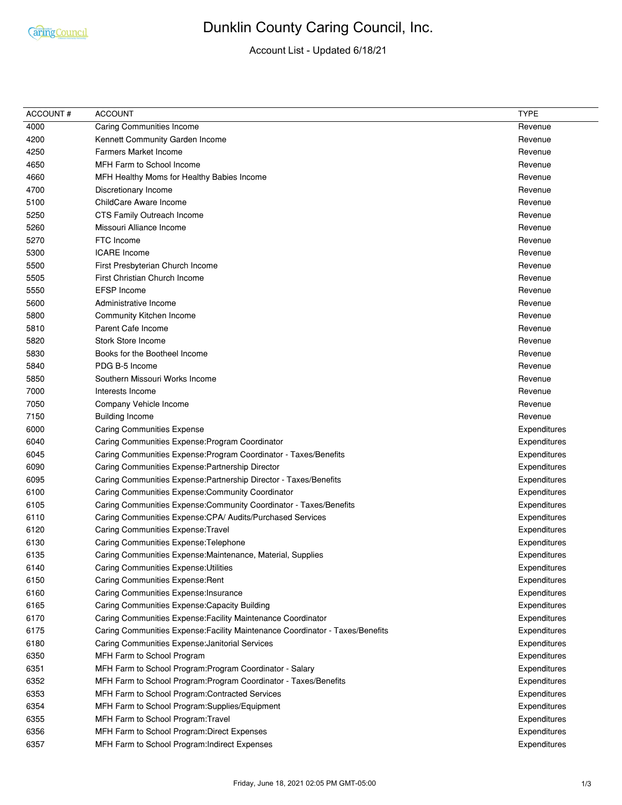

# Dunklin County Caring Council, Inc.

Account List - Updated 6/18/21

| <b>ACCOUNT#</b> | <b>ACCOUNT</b>                                                                | <b>TYPE</b>  |
|-----------------|-------------------------------------------------------------------------------|--------------|
| 4000            | <b>Caring Communities Income</b>                                              | Revenue      |
| 4200            | Kennett Community Garden Income                                               | Revenue      |
| 4250            | <b>Farmers Market Income</b>                                                  | Revenue      |
| 4650            | MFH Farm to School Income                                                     | Revenue      |
| 4660            | MFH Healthy Moms for Healthy Babies Income                                    | Revenue      |
| 4700            | Discretionary Income                                                          | Revenue      |
| 5100            | ChildCare Aware Income                                                        | Revenue      |
| 5250            | CTS Family Outreach Income                                                    | Revenue      |
| 5260            | Missouri Alliance Income                                                      | Revenue      |
| 5270            | FTC Income                                                                    | Revenue      |
| 5300            | <b>ICARE</b> Income                                                           | Revenue      |
| 5500            | First Presbyterian Church Income                                              | Revenue      |
| 5505            | First Christian Church Income                                                 | Revenue      |
| 5550            | <b>EFSP</b> Income                                                            | Revenue      |
| 5600            | Administrative Income                                                         | Revenue      |
| 5800            | Community Kitchen Income                                                      | Revenue      |
| 5810            | Parent Cafe Income                                                            | Revenue      |
| 5820            | Stork Store Income                                                            | Revenue      |
| 5830            | Books for the Bootheel Income                                                 | Revenue      |
| 5840            | PDG B-5 Income                                                                | Revenue      |
| 5850            | Southern Missouri Works Income                                                | Revenue      |
| 7000            | Interests Income                                                              | Revenue      |
| 7050            | Company Vehicle Income                                                        | Revenue      |
| 7150            | <b>Building Income</b>                                                        | Revenue      |
| 6000            | <b>Caring Communities Expense</b>                                             | Expenditures |
| 6040            | Caring Communities Expense: Program Coordinator                               | Expenditures |
| 6045            | Caring Communities Expense: Program Coordinator - Taxes/Benefits              | Expenditures |
| 6090            | Caring Communities Expense: Partnership Director                              | Expenditures |
| 6095            | Caring Communities Expense: Partnership Director - Taxes/Benefits             | Expenditures |
| 6100            | Caring Communities Expense: Community Coordinator                             | Expenditures |
| 6105            | Caring Communities Expense: Community Coordinator - Taxes/Benefits            | Expenditures |
| 6110            | Caring Communities Expense:CPA/ Audits/Purchased Services                     | Expenditures |
| 6120            | Caring Communities Expense: Travel                                            | Expenditures |
| 6130            | Caring Communities Expense: Telephone                                         | Expenditures |
| 6135            | Caring Communities Expense: Maintenance, Material, Supplies                   | Expenditures |
|                 | <b>Caring Communities Expense: Utilities</b>                                  | Expenditures |
| 6140            |                                                                               |              |
| 6150            | Caring Communities Expense: Rent                                              | Expenditures |
| 6160            | Caring Communities Expense: Insurance                                         | Expenditures |
| 6165            | Caring Communities Expense: Capacity Building                                 | Expenditures |
| 6170            | Caring Communities Expense: Facility Maintenance Coordinator                  | Expenditures |
| 6175            | Caring Communities Expense: Facility Maintenance Coordinator - Taxes/Benefits | Expenditures |
| 6180            | Caring Communities Expense: Janitorial Services                               | Expenditures |
| 6350            | MFH Farm to School Program                                                    | Expenditures |
| 6351            | MFH Farm to School Program: Program Coordinator - Salary                      | Expenditures |
| 6352            | MFH Farm to School Program: Program Coordinator - Taxes/Benefits              | Expenditures |
| 6353            | MFH Farm to School Program:Contracted Services                                | Expenditures |
| 6354            | MFH Farm to School Program:Supplies/Equipment                                 | Expenditures |
| 6355            | MFH Farm to School Program: Travel                                            | Expenditures |
| 6356            | MFH Farm to School Program: Direct Expenses                                   | Expenditures |
| 6357            | MFH Farm to School Program: Indirect Expenses                                 | Expenditures |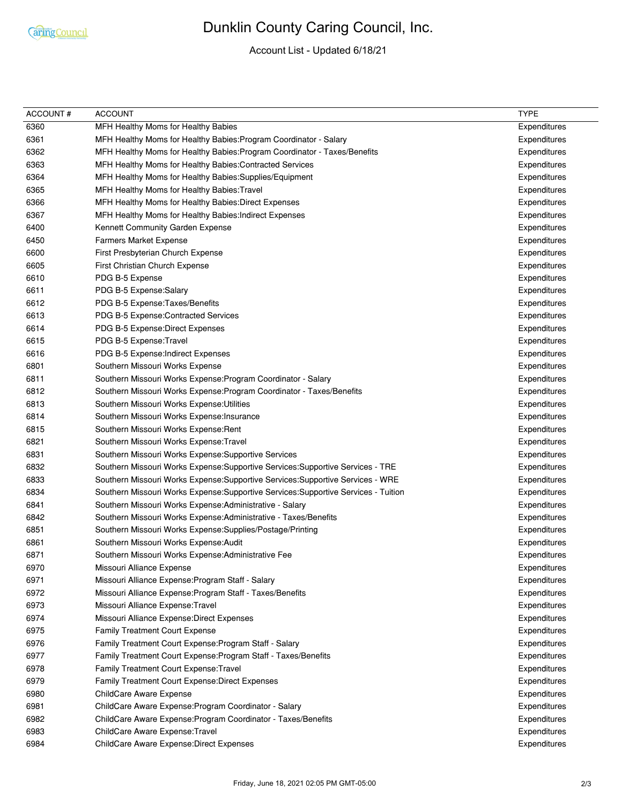

### Dunklin County Caring Council, Inc.

#### Account List - Updated 6/18/21

| ACCOUNT# | <b>ACCOUNT</b>                                                                      | <b>TYPE</b>  |
|----------|-------------------------------------------------------------------------------------|--------------|
| 6360     | MFH Healthy Moms for Healthy Babies                                                 | Expenditures |
| 6361     | MFH Healthy Moms for Healthy Babies: Program Coordinator - Salary                   | Expenditures |
| 6362     | MFH Healthy Moms for Healthy Babies: Program Coordinator - Taxes/Benefits           | Expenditures |
| 6363     | MFH Healthy Moms for Healthy Babies: Contracted Services                            | Expenditures |
| 6364     | MFH Healthy Moms for Healthy Babies: Supplies/Equipment                             | Expenditures |
| 6365     | MFH Healthy Moms for Healthy Babies: Travel                                         | Expenditures |
| 6366     | MFH Healthy Moms for Healthy Babies: Direct Expenses                                | Expenditures |
| 6367     | MFH Healthy Moms for Healthy Babies: Indirect Expenses                              | Expenditures |
| 6400     | Kennett Community Garden Expense                                                    | Expenditures |
| 6450     | Farmers Market Expense                                                              | Expenditures |
| 6600     | First Presbyterian Church Expense                                                   | Expenditures |
| 6605     | First Christian Church Expense                                                      | Expenditures |
| 6610     | PDG B-5 Expense                                                                     | Expenditures |
| 6611     | PDG B-5 Expense:Salary                                                              | Expenditures |
| 6612     | PDG B-5 Expense: Taxes/Benefits                                                     | Expenditures |
| 6613     | PDG B-5 Expense: Contracted Services                                                | Expenditures |
| 6614     | PDG B-5 Expense: Direct Expenses                                                    | Expenditures |
| 6615     | PDG B-5 Expense: Travel                                                             | Expenditures |
| 6616     | PDG B-5 Expense: Indirect Expenses                                                  | Expenditures |
| 6801     | Southern Missouri Works Expense                                                     | Expenditures |
| 6811     | Southern Missouri Works Expense: Program Coordinator - Salary                       | Expenditures |
| 6812     | Southern Missouri Works Expense: Program Coordinator - Taxes/Benefits               | Expenditures |
| 6813     | Southern Missouri Works Expense: Utilities                                          | Expenditures |
| 6814     | Southern Missouri Works Expense: Insurance                                          | Expenditures |
| 6815     | Southern Missouri Works Expense: Rent                                               | Expenditures |
| 6821     | Southern Missouri Works Expense: Travel                                             | Expenditures |
| 6831     | Southern Missouri Works Expense: Supportive Services                                | Expenditures |
| 6832     | Southern Missouri Works Expense: Supportive Services: Supportive Services - TRE     | Expenditures |
| 6833     | Southern Missouri Works Expense: Supportive Services: Supportive Services - WRE     | Expenditures |
| 6834     | Southern Missouri Works Expense: Supportive Services: Supportive Services - Tuition | Expenditures |
| 6841     | Southern Missouri Works Expense: Administrative - Salary                            | Expenditures |
| 6842     | Southern Missouri Works Expense: Administrative - Taxes/Benefits                    | Expenditures |
| 6851     | Southern Missouri Works Expense: Supplies/Postage/Printing                          | Expenditures |
| 6861     | Southern Missouri Works Expense: Audit                                              | Expenditures |
| 6871     | Southern Missouri Works Expense: Administrative Fee                                 | Expenditures |
| 6970     | Missouri Alliance Expense                                                           | Expenditures |
| 6971     | Missouri Alliance Expense: Program Staff - Salary                                   | Expenditures |
| 6972     | Missouri Alliance Expense: Program Staff - Taxes/Benefits                           | Expenditures |
| 6973     | Missouri Alliance Expense: Travel                                                   | Expenditures |
| 6974     | Missouri Alliance Expense: Direct Expenses                                          | Expenditures |
| 6975     | <b>Family Treatment Court Expense</b>                                               | Expenditures |
| 6976     | Family Treatment Court Expense: Program Staff - Salary                              | Expenditures |
| 6977     | Family Treatment Court Expense: Program Staff - Taxes/Benefits                      | Expenditures |
| 6978     | Family Treatment Court Expense: Travel                                              | Expenditures |
| 6979     | Family Treatment Court Expense: Direct Expenses                                     | Expenditures |
| 6980     | ChildCare Aware Expense                                                             | Expenditures |
| 6981     | ChildCare Aware Expense: Program Coordinator - Salary                               | Expenditures |
| 6982     | ChildCare Aware Expense: Program Coordinator - Taxes/Benefits                       | Expenditures |
| 6983     | ChildCare Aware Expense: Travel                                                     | Expenditures |
| 6984     | ChildCare Aware Expense: Direct Expenses                                            | Expenditures |